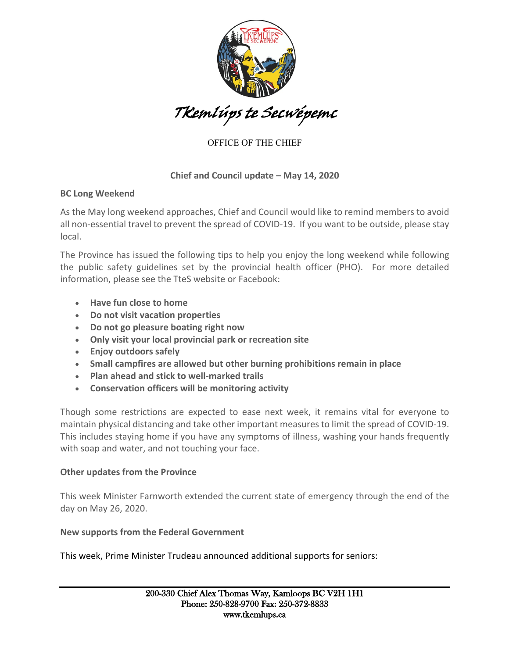

# OFFICE OF THE CHIEF

### **Chief and Council update – May 14, 2020**

#### **BC Long Weekend**

As the May long weekend approaches, Chief and Council would like to remind members to avoid all non-essential travel to prevent the spread of COVID-19. If you want to be outside, please stay local.

The Province has issued the following tips to help you enjoy the long weekend while following the public safety guidelines set by the provincial health officer (PHO). For more detailed information, please see the TteS website or Facebook:

- **Have fun close to home**
- **Do not visit vacation properties**
- **Do not go pleasure boating right now**
- **Only visit your local provincial park or recreation site**
- **Enjoy outdoors safely**
- **Small campfires are allowed but other burning prohibitions remain in place**
- **Plan ahead and stick to well-marked trails**
- **Conservation officers will be monitoring activity**

Though some restrictions are expected to ease next week, it remains vital for everyone to maintain physical distancing and take other important measures to limit the spread of COVID-19. This includes staying home if you have any symptoms of illness, washing your hands frequently with soap and water, and not touching your face.

#### **Other updates from the Province**

This week Minister Farnworth extended the current state of emergency through the end of the day on May 26, 2020.

## **New supports from the Federal Government**

This week, Prime Minister Trudeau announced additional supports for seniors: